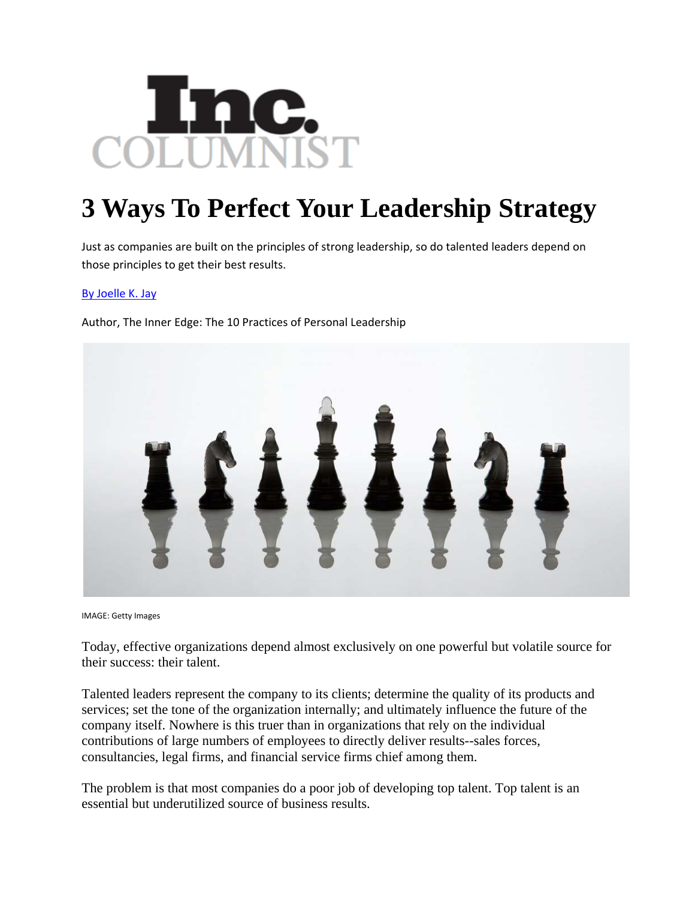

## **3 Ways To Perfect Your Leadership Strategy**

Just as companies are built on the principles of strong leadership, so do talented leaders depend on those principles to get their best results.

## By Joelle K. Jay

Author, The Inner Edge: The 10 Practices of Personal Leadership



IMAGE: Getty Images

Today, effective organizations depend almost exclusively on one powerful but volatile source for their success: their talent.

Talented leaders represent the company to its clients; determine the quality of its products and services; set the tone of the organization internally; and ultimately influence the future of the company itself. Nowhere is this truer than in organizations that rely on the individual contributions of large numbers of employees to directly deliver results--sales forces, consultancies, legal firms, and financial service firms chief among them.

The problem is that most companies do a poor job of developing top talent. Top talent is an essential but underutilized source of business results.